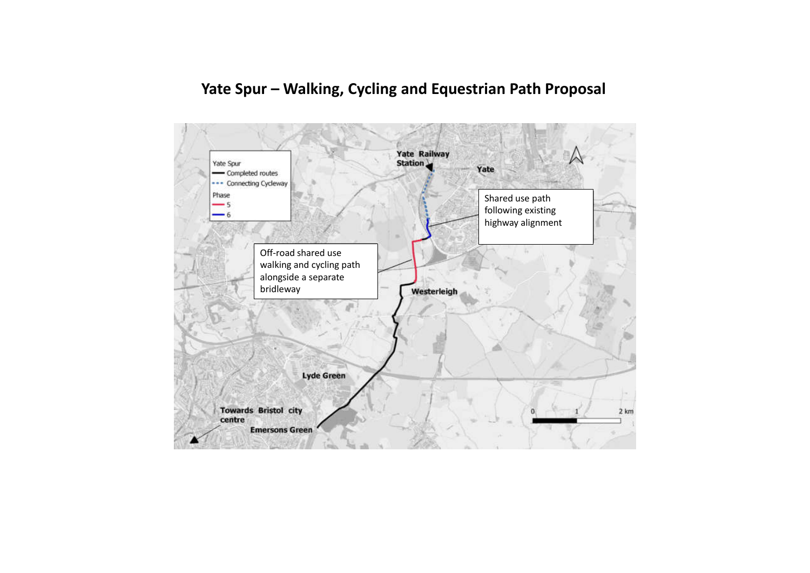# **Yate Spur – Walking, Cycling and Equestrian Path Proposal**

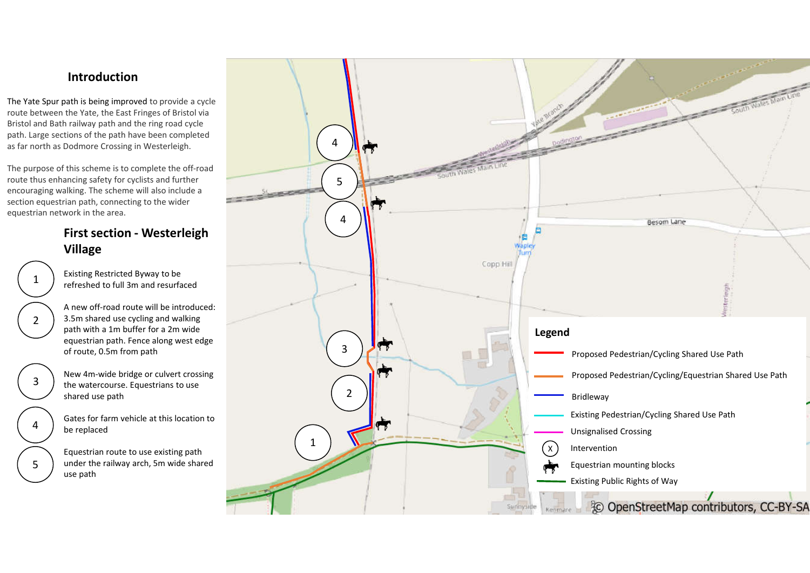#### **Introduction**

The Yate Spur path is being improved to provide a cycle route between the Yate, the East Fringes of Bristol via Bristol and Bath railway path and the ring road cycle path. Large sections of the path have been completed as far north as Dodmore Crossing in Westerleigh.

The purpose of this scheme is to complete the off -road route thus enhancing safety for cyclists and further encouraging walking. The scheme will also include a section equestrian path, connecting to the wider equestrian network in the area.

### **First section - Westerleigh Village**

- $\mathbf{1}$  $\frac{1}{2}$  $\overline{2}$ 3  $\frac{4}{5}$ 4  $5<sup>1</sup>$ 
	- Existing Restricted Byway to be refreshed to full 3m and resurfaced

A new off -road route will be introduced: 3.5m shared use cycling and walking path with a 1m buffer for a 2m wide equestrian path. Fence along west edge of route, 0.5m from path

New 4m -wide bridge or culvert crossing the watercourse. Equestrians to use shared use path

Gates for farm vehicle at this location to be replaced

Equestrian route to use existing path under the railway arch, 5m wide shared use path

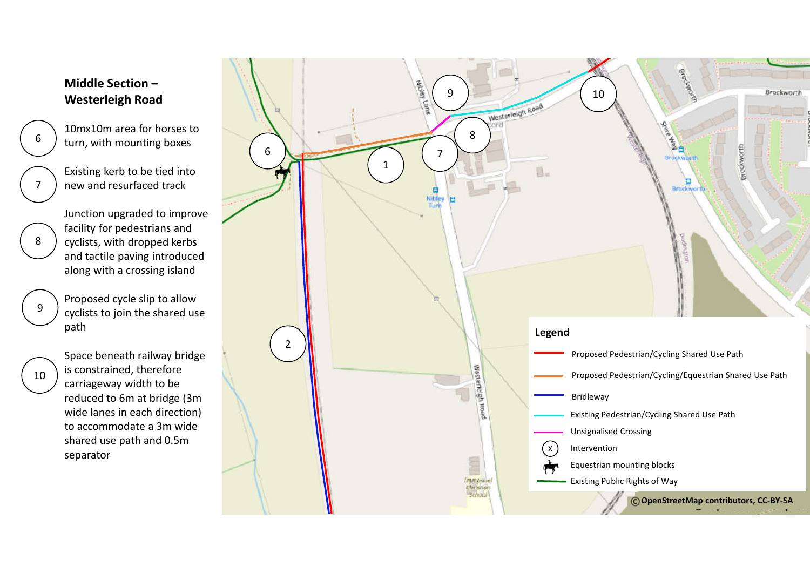## **Middle Section – Westerleigh Road**

- 10mx10m area for horses to turn, with mounting boxes
- Existing kerb to be tied into new and resurfaced track

Junction upgraded to improve facility for pedestrians and cyclists, with dropped kerbs and tactile paving introduced along with a crossing island

Proposed cycle slip to allow cyclists to join the shared use path

10

 $6 -$ <br>7

 $\overline{7}$ 

6

8

9

Space beneath railway bridge is constrained, therefore carriageway width to be reduced to 6m at bridge (3m wide lanes in each direction) to accommodate a 3m wide shared use path and 0.5m separator